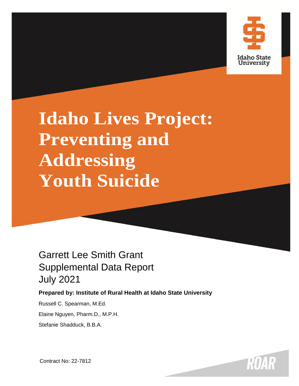

# **Idaho Lives Project: Preventing and Addressing Youth Suicide**

# Garrett Lee Smith Grant Supplemental Data Report July 2021

# **Prepared by: Institute of Rural Health at Idaho State University**

Russell C. Spearman, M.Ed.

Elaine Nguyen, Pharm.D., M.P.H.

Stefanie Shadduck, B.B.A.

Contract No: 22-7812

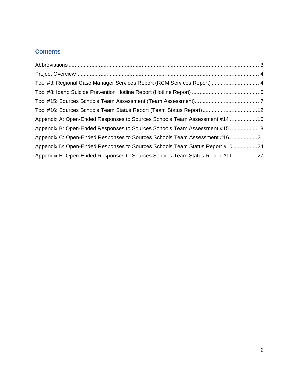# **Contents**

| Tool #3: Regional Case Manager Services Report (RCM Services Report)  4       |  |
|-------------------------------------------------------------------------------|--|
|                                                                               |  |
|                                                                               |  |
| Tool #16: Sources Schools Team Status Report (Team Status Report)12           |  |
| Appendix A: Open-Ended Responses to Sources Schools Team Assessment #14 16    |  |
| Appendix B: Open-Ended Responses to Sources Schools Team Assessment #15 18    |  |
| Appendix C: Open-Ended Responses to Sources Schools Team Assessment #16 21    |  |
| Appendix D: Open-Ended Responses to Sources Schools Team Status Report #1024  |  |
| Appendix E: Open-Ended Responses to Sources Schools Team Status Report #11 27 |  |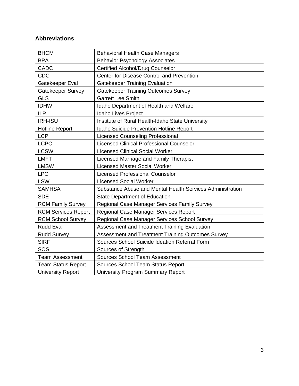# **Abbreviations**

| <b>BHCM</b>                | <b>Behavioral Health Case Managers</b>                    |
|----------------------------|-----------------------------------------------------------|
| <b>BPA</b>                 | <b>Behavior Psychology Associates</b>                     |
| <b>CADC</b>                | <b>Certified Alcohol/Drug Counselor</b>                   |
| <b>CDC</b>                 | Center for Disease Control and Prevention                 |
| Gatekeeper Eval            | <b>Gatekeeper Training Evaluation</b>                     |
| Gatekeeper Survey          | <b>Gatekeeper Training Outcomes Survey</b>                |
| <b>GLS</b>                 | <b>Garrett Lee Smith</b>                                  |
| <b>IDHW</b>                | Idaho Department of Health and Welfare                    |
| <b>ILP</b>                 | Idaho Lives Project                                       |
| <b>IRH-ISU</b>             | Institute of Rural Health-Idaho State University          |
| <b>Hotline Report</b>      | Idaho Suicide Prevention Hotline Report                   |
| <b>LCP</b>                 | <b>Licensed Counseling Professional</b>                   |
| <b>LCPC</b>                | <b>Licensed Clinical Professional Counselor</b>           |
| <b>LCSW</b>                | <b>Licensed Clinical Social Worker</b>                    |
| <b>LMFT</b>                | Licensed Marriage and Family Therapist                    |
| <b>LMSW</b>                | <b>Licensed Master Social Worker</b>                      |
| <b>LPC</b>                 | <b>Licensed Professional Counselor</b>                    |
| <b>LSW</b>                 | <b>Licensed Social Worker</b>                             |
| <b>SAMHSA</b>              | Substance Abuse and Mental Health Services Administration |
| <b>SDE</b>                 | <b>State Department of Education</b>                      |
| <b>RCM Family Survey</b>   | Regional Case Manager Services Family Survey              |
| <b>RCM Services Report</b> | Regional Case Manager Services Report                     |
| <b>RCM School Survey</b>   | Regional Case Manager Services School Survey              |
| <b>Rudd Eval</b>           | Assessment and Treatment Training Evaluation              |
| <b>Rudd Survey</b>         | Assessment and Treatment Training Outcomes Survey         |
| <b>SIRF</b>                | Sources School Suicide Ideation Referral Form             |
| SOS                        | Sources of Strength                                       |
| <b>Team Assessment</b>     | Sources School Team Assessment                            |
| <b>Team Status Report</b>  | Sources School Team Status Report                         |
| <b>University Report</b>   | <b>University Program Summary Report</b>                  |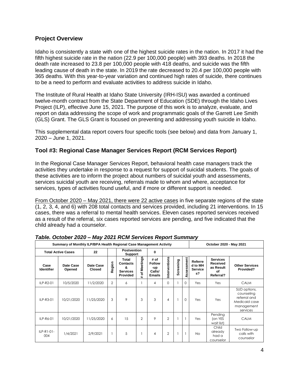#### **Project Overview**

Idaho is consistently a state with one of the highest suicide rates in the nation. In 2017 it had the fifth highest suicide rate in the nation (22.9 per 100,000 people) with 393 deaths. In 2018 the death rate increased to 23.8 per 100,000 people with 418 deaths, and suicide was the fifth leading cause of death in the state. In 2019 the rate decreased to 20.4 per 100,000 people with 365 deaths. With this year-to-year variation and continued high rates of suicide, there continues to be a need to perform and evaluate activities to address suicide in Idaho.

The Institute of Rural Health at Idaho State University (IRH-ISU) was awarded a continued twelve-month contract from the State Department of Education (SDE) through the Idaho Lives Project (ILP), effective June 15, 2021. The purpose of this work is to analyze, evaluate, and report on data addressing the scope of work and programmatic goals of the Garrett Lee Smith (GLS) Grant. The GLS Grant is focused on preventing and addressing youth suicide in Idaho.

This supplemental data report covers four specific tools (see below) and data from January 1, 2020 – June 1, 2021.

# **Tool #3: Regional Case Manager Services Report (RCM Services Report)**

In the Regional Case Manager Services Report, behavioral health case managers track the activities they undertake in response to a request for support of suicidal students. The goals of these activities are to inform the project about numbers of suicidal youth and assessments, services suicidal youth are receiving, referrals made to whom and where, acceptance for services, types of activities found useful, and if more or different support is needed.

From October 2020 – May 2021, there were 22 active cases in five separate regions of the state (1, 2, 3, 4, and 6) with 208 total contacts and services provided, including 21 interventions. In 15 cases, there was a referral to mental health services. Eleven cases reported services received as a result of the referral, six cases reported services are pending, and five indicated that the child already had a counselor.

| Summary of Monthly ILP/BPA Health Regional Case Management Activity |                           |                            |                |                                                              |                                                              |                                                         |                |           | October 2020 - May 2021 |                                            |                                                             |                                                                                       |
|---------------------------------------------------------------------|---------------------------|----------------------------|----------------|--------------------------------------------------------------|--------------------------------------------------------------|---------------------------------------------------------|----------------|-----------|-------------------------|--------------------------------------------|-------------------------------------------------------------|---------------------------------------------------------------------------------------|
|                                                                     | <b>Total Active Cases</b> | 22                         |                | <b>Postvention</b><br><b>Support</b>                         |                                                              | 0                                                       |                |           |                         |                                            |                                                             |                                                                                       |
| Case<br><b>Identifier</b>                                           | Date Case<br>Opened       | Date Case<br><b>Closed</b> | gion<br>٦è     | Total<br><b>Contacts</b><br>ጼ<br><b>Services</b><br>Provided | <b>Meetings</b><br>$\leftarrow$<br>$\ddot{\mathbf{c}}$<br>ä. | # of<br><b>Follow</b><br>-up<br>Calls/<br><b>Emails</b> | Interventions  | Screening | ssessment               | Referre<br>d to MH<br><b>Service</b><br>s? | <b>Services</b><br>Received<br>as Result<br>Ωf<br>Referral? | <b>Other Services</b><br>Provided?                                                    |
| ILP-R2-01                                                           | 10/5/2020                 | 11/2/2020                  | $\overline{2}$ | 6                                                            |                                                              | 4                                                       | $\Omega$       |           | $\Omega$                | Yes                                        | Yes                                                         | <b>CALM</b>                                                                           |
| ILP-R3-01                                                           | 10/21/2020                | 11/25/2020                 | 3              | 9                                                            | 3                                                            | 3                                                       | $\overline{4}$ |           | $\Omega$                | Yes                                        | Yes                                                         | SUD options,<br>counseling<br>referral and<br>Medicaid case<br>management<br>services |
| ILP-R6-01                                                           | 10/21/2020                | 11/25/2020                 | 6              | 15                                                           | $\overline{2}$                                               | 9                                                       | $\overline{2}$ |           |                         | Yes                                        | Pending<br>(on YES<br>wait list)                            | <b>CALM</b>                                                                           |
| $ILP-R1-01-$<br>004                                                 | 1/4/2021                  | 2/9/2021                   |                | 5                                                            |                                                              | 4                                                       | $\overline{2}$ |           |                         | <b>No</b>                                  | Child<br>already<br>had a<br>counselor                      | Two Follow-up<br>calls with<br>counselor                                              |

#### *Table. October 2020 – May 2021 RCM Services Report Summary*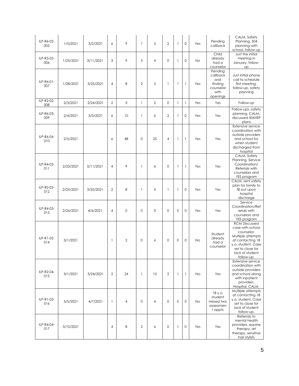| ILP-R6-02-<br>005 | 1/5/2021  | 3/2/2021  | 6              | 9              | 1              | 5              | $\overline{2}$ | $\mathbf{1}$ | $\circ$      | Yes | Pending<br>callback                                                    | CALM, Safety<br>Planning, 504<br>planning with<br>school, follow-up                                                                                                        |
|-------------------|-----------|-----------|----------------|----------------|----------------|----------------|----------------|--------------|--------------|-----|------------------------------------------------------------------------|----------------------------------------------------------------------------------------------------------------------------------------------------------------------------|
| ILP-R3-02-<br>006 | 1/25/2021 | 3/11/2021 | 3              | 9              | 5              | $\overline{4}$ | $\Omega$       | $\mathbf{1}$ | $\Omega$     | No  | Child<br>already<br>had a<br>counselor                                 | Just the initial<br>meeting in<br>January, follow-<br><b>UP</b>                                                                                                            |
| ILP-R4-01-<br>007 | 1/28/2021 | 3/25/2021 | $\overline{4}$ | 8              | $\overline{2}$ | 5              | 1              | 1            | $\mathbf{1}$ | Yes | Pending<br>callback<br>and<br>finding<br>counselor<br>with<br>openings | Just initial phone<br>call to schedule<br>first meeting,<br>follow-up, safety<br>planning                                                                                  |
| ILP-R2-02-<br>008 | 2/3/2021  | 2/24/2021 | $\overline{2}$ | 3              | $\mathbf{1}$   | $\overline{2}$ | $\mathbf 0$    | $\mathbf{1}$ | $\mathbf{1}$ | Yes | Yes                                                                    | Follow-up                                                                                                                                                                  |
| ILP-R6-03-<br>009 | 2/4/2021  | 3/3/2021  | 6              | 10             | 1              | 6              | $\overline{2}$ | $\mathbf{1}$ | $\mathbf 0$  | Yes | Yes                                                                    | Follow-ups, safety<br>planning, CALM,<br>discussed 504/IEP<br>plans                                                                                                        |
| ILP-R6-04-<br>010 | 2/5/2021  |           | 6              | 48             | $\mathbf 0$    | 25             | 4              | $\mathbf{1}$ | $\mathbf{1}$ | Yes | Yes                                                                    | Extensive service<br>coordination with<br>outside providers<br>and school for<br>when student<br>discharged from<br>hospital                                               |
| ILP-R4-02-<br>011 | 2/23/2021 | 5/11/2021 | 4              | 9              | 1              | 6              | $\mathbf 0$    | $\mathbf{1}$ | $\mathbf{1}$ | Yes | Yes                                                                    | CALM, Safety<br>Planning, Service<br>Coordination/<br>Referrals with<br>counselors and<br>YES program                                                                      |
| ILP-R2-03-<br>012 | 2/25/2021 | 3/25/2021 | $\overline{2}$ | 8              | 1              | 5              | 1              | $\mathbf{1}$ | $\Omega$     | Yes | Yes                                                                    | CALM, sent safety<br>plan for family to<br>fill out upon<br>hospital<br>discharge                                                                                          |
| ILP-R4-03-<br>013 | 2/26/2021 | 4/6/2021  | $\overline{4}$ | $\mathbf 0$    | $\mathbf 0$    | $\mathbf 0$    | $\Omega$       | $\mathbf 0$  | $\mathbf 0$  | Yes | Yes                                                                    | Service<br>Coordination/Ref<br>errals with<br>counselors and<br>YES program                                                                                                |
| ILP-R1-02-<br>014 | 3/1/2021  |           | $\mathbf{1}$   | $\overline{2}$ | $\mathbf 0$    | 6              | $\mathbf 0$    | $\mathbf 0$  | $\mathbf 0$  | No  | Student<br>already<br>had a<br>counselor                               | <b>RCM Discussed</b><br>case with school<br>counselor.<br>Multiple attempts<br>at contacting 18<br>y.o. student. Case<br>set to close for<br>lack of student<br>follow-up. |
| ILP-R2-04-<br>015 | 3/1/2021  | 3/24/2021 | 2              | 24             | 1              | 15             | $\overline{2}$ | $\mathbf{1}$ | $\mathbf{1}$ | Yes | Yes                                                                    | Extensive service<br>coordination with<br>outside providers<br>and school along<br>with inpatient<br>providers.<br>Hospital, CALM.                                         |
| ILP-R1-03-<br>016 | 3/5/2021  | 4/7/2021  | $\mathbf{1}$   | 4              | $\mathbf{0}$   | 4              | $\mathbf 0$    | $\mathbf 0$  | $\circ$      | No  | 18 y.o.<br>student<br>missed two<br>assessmen<br>t appts               | Multiple attempts<br>at contacting 18<br>y.o. student. Case<br>set to close for<br>lack of student<br>follow-up.                                                           |
| ILP-R4-04-<br>017 | 3/10/2021 |           | 4              | 8              | $\overline{2}$ | 6              | 0              | $\mathbf{1}$ | $\circ$      | Yes | Yes                                                                    | Referrals to<br>mental health<br>providers, equine<br>therapy, art<br>therapy, sensitive<br>hair stylists                                                                  |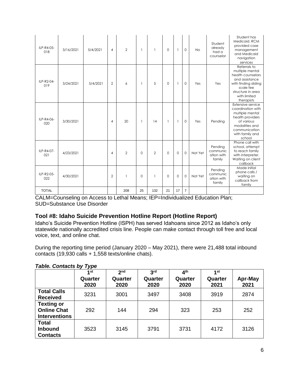| ILP-R4-05-<br>018 | 3/16/2021 | 5/4/2021 | $\overline{4}$ | $\overline{2}$ |          | 1              | $\mathbf{0}$ | $\mathbf{1}$ | $\Omega$       | <b>No</b> | Student<br>already<br>had a<br>counselor    | Student has<br>Medicaid, RCM<br>provided case<br>management<br>and Medicaid<br>navigation<br>services                                                          |
|-------------------|-----------|----------|----------------|----------------|----------|----------------|--------------|--------------|----------------|-----------|---------------------------------------------|----------------------------------------------------------------------------------------------------------------------------------------------------------------|
| ILP-R2-04-<br>019 | 3/24/2021 | 5/4/2021 | $\overline{2}$ | 6              |          | 5              | $\mathbf 0$  | -1           | $\circ$        | Yes       | Yes                                         | Referrals to<br>multiple mental<br>health counselors<br>and assistance<br>with finding sliding<br>scale fee<br>structure in area<br>with limited<br>therapists |
| ILP-R4-06-<br>020 | 3/30/2021 |          | $\overline{4}$ | 20             | 1        | 14             | $\mathbf{1}$ | $\mathbf{1}$ | $\mathbf 0$    | Yes       | Pending                                     | Extensive service<br>coordination with<br>multiple mental<br>health providers<br>of various<br>modalities and<br>communication<br>with family and<br>school    |
| ILP-R4-07-<br>021 | 4/23/2021 |          | $\overline{4}$ | $\overline{2}$ | $\Omega$ | $\overline{2}$ | $\Omega$     | $\mathbf 0$  | $\mathbf 0$    | Not Yet   | Pending<br>communic<br>ation with<br>family | Phone call with<br>school, attempt<br>to reach family<br>with interpreter.<br>Waiting on client<br>callback                                                    |
| ILP-R2-05-<br>022 | 4/30/2021 |          | $\overline{2}$ |                | $\circ$  | 1              | $\Omega$     | $\mathbf{0}$ | $\mathbf 0$    | Not Yet   | Pending<br>communic<br>ation with<br>family | Made initial<br>phone calls /<br>waiting on<br>callback from<br>family                                                                                         |
| <b>TOTAL</b>      |           |          |                | 208            | 25       | 132            | 21           | 17           | $\overline{7}$ |           |                                             |                                                                                                                                                                |

CALM=Counseling on Access to Lethal Means; IEP=Individualized Education Plan; SUD=Substance Use Disorder

#### **Tool #8: Idaho Suicide Prevention Hotline Report (Hotline Report)**

Idaho's Suicide Prevention Hotline (ISPH) has served Idahoans since 2012 as Idaho's only statewide nationally accredited crisis line. People can make contact through toll free and local voice, text, and online chat.

During the reporting time period (January 2020 – May 2021), there were 21,488 total inbound contacts (19,930 calls + 1,558 texts/online chats).

| .                                                               | 1st             | 2 <sub>nd</sub> | 3 <sup>rd</sup> | 4 <sup>th</sup> | 4 st            |                 |
|-----------------------------------------------------------------|-----------------|-----------------|-----------------|-----------------|-----------------|-----------------|
|                                                                 | Quarter<br>2020 | Quarter<br>2020 | Quarter<br>2020 | Quarter<br>2020 | Quarter<br>2021 | Apr-May<br>2021 |
| <b>Total Calls</b><br><b>Received</b>                           | 3231            | 3001            | 3497            | 3408            | 3919            | 2874            |
| <b>Texting or</b><br><b>Online Chat</b><br><b>Interventions</b> | 292             | 144             | 294             | 323             | 253             | 252             |
| <b>Total</b><br><b>Inbound</b><br><b>Contacts</b>               | 3523            | 3145            | 3791            | 3731            | 4172            | 3126            |

#### *Table. Contacts by Type*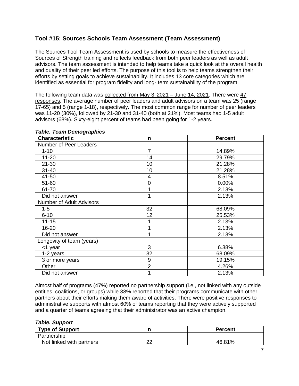## **Tool #15: Sources Schools Team Assessment (Team Assessment)**

The Sources Tool Team Assessment is used by schools to measure the effectiveness of Sources of Strength training and reflects feedback from both peer leaders as well as adult advisors. The team assessment is intended to help teams take a quick look at the overall health and quality of their peer led efforts. The purpose of this tool is to help teams strengthen their efforts by setting goals to achieve sustainability. It includes 13 core categories which are identified as essential for program fidelity and long- term sustainability of the program.

The following team data was collected from May 3, 2021 – June 14, 2021. There were 47 responses. The average number of peer leaders and adult advisors on a team was 25 (range 17-65) and 5 (range 1-18), respectively. The most common range for number of peer leaders was 11-20 (30%), followed by 21-30 and 31-40 (both at 21%). Most teams had 1-5 adult advisors (68%). Sixty-eight percent of teams had been going for 1-2 years.

| <b>Characteristic</b>           | n              | <b>Percent</b> |
|---------------------------------|----------------|----------------|
| Number of Peer Leaders          |                |                |
| $1 - 10$                        | $\overline{7}$ | 14.89%         |
| $11 - 20$                       | 14             | 29.79%         |
| $21 - 30$                       | 10             | 21.28%         |
| $31 - 40$                       | 10             | 21.28%         |
| 41-50                           | 4              | 8.51%          |
| 51-60                           | 0              | 0.00%          |
| 61-70                           |                | 2.13%          |
| Did not answer                  |                | 2.13%          |
| <b>Number of Adult Advisors</b> |                |                |
| $1 - 5$                         | 32             | 68.09%         |
| $6 - 10$                        | 12             | 25.53%         |
| $11 - 15$                       |                | 2.13%          |
| 16-20                           |                | 2.13%          |
| Did not answer                  | 1              | 2.13%          |
| Longevity of team (years)       |                |                |
| <1 year                         | 3              | 6.38%          |
| 1-2 years                       | 32             | 68.09%         |
| 3 or more years                 | 9              | 19.15%         |
| Other                           | $\overline{2}$ | 4.26%          |
| Did not answer                  |                | 2.13%          |

#### *Table. Team Demographics*

Almost half of programs (47%) reported no partnership support (i.e., not linked with any outside entities, coalitions, or groups) while 38% reported that their programs communicate with other partners about their efforts making them aware of activities. There were positive responses to administrative supports with almost 60% of teams reporting that they were actively supported and a quarter of teams agreeing that their administrator was an active champion.

#### *Table. Support*

| <b>Type of Support</b>   |   | <b>Percent</b> |
|--------------------------|---|----------------|
| Partnership              |   |                |
| Not linked with partners | ົ | 46.81%         |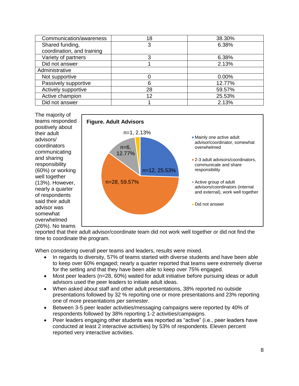| Communication/awareness    | 18 | 38.30% |
|----------------------------|----|--------|
| Shared funding,            | 3  | 6.38%  |
| coordination, and training |    |        |
| Variety of partners        | 3  | 6.38%  |
| Did not answer             |    | 2.13%  |
| Administrative             |    |        |
| Not supportive             |    | 0.00%  |
| Passively supportive       | 6  | 12.77% |
| Actively supportive        | 28 | 59.57% |
| Active champion            | 12 | 25.53% |
| Did not answer             |    | 2.13%  |



reported that their adult advisor/coordinate team did not work well together or did not find the time to coordinate the program.

When considering overall peer teams and leaders, results were mixed.

- In regards to diversity, 57% of teams started with diverse students and have been able to keep over 60% engaged; nearly a quarter reported that teams were extremely diverse for the setting and that they have been able to keep over 75% engaged.
- Most peer leaders (n=28, 60%) waited for adult initiative before pursuing ideas or adult advisors used the peer leaders to initiate adult ideas.
- When asked about staff and other adult presentations, 38% reported no outside presentations followed by 32 % reporting one or more presentations and 23% reporting one of more presentations *per semester*.
- Between 3-5 peer leader activities/messaging campaigns were reported by 40% of respondents followed by 38% reporting 1-2 activities/campaigns.
- Peer leaders engaging other students was reported as "active" (i.e., peer leaders have conducted at least 2 interactive activities) by 53% of respondents. Eleven percent reported very interactive activities.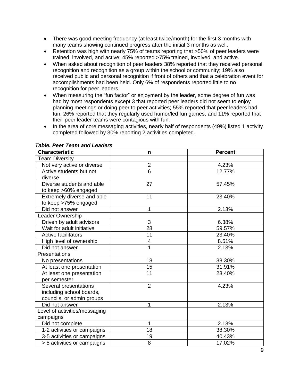- There was good meeting frequency (at least twice/month) for the first 3 months with many teams showing continued progress after the initial 3 months as well.
- Retention was high with nearly 75% of teams reporting that >50% of peer leaders were trained, involved, and active; 45% reported >75% trained, involved, and active.
- When asked about recognition of peer leaders 38% reported that they received personal recognition and recognition as a group within the school or community; 19% also received public and personal recognition if front of others and that a celebration event for accomplishments had been held. Only 6% of respondents reported little to no recognition for peer leaders.
- When measuring the "fun factor" or enjoyment by the leader, some degree of fun was had by most respondents except 3 that reported peer leaders did not seem to enjoy planning meetings or doing peer to peer activities; 55% reported that peer leaders had fun, 26% reported that they regularly used humor/led fun games, and 11% reported that their peer leader teams were contagious with fun.
- In the area of core messaging activities, nearly half of respondents (49%) listed 1 activity completed followed by 30% reporting 2 activities completed.

| <b>Characteristic</b>         | n              | <b>Percent</b> |
|-------------------------------|----------------|----------------|
| <b>Team Diversity</b>         |                |                |
| Not very active or diverse    | $\overline{2}$ | 4.23%          |
| Active students but not       | 6              | 12.77%         |
| diverse                       |                |                |
| Diverse students and able     | 27             | 57.45%         |
| to keep >60% engaged          |                |                |
| Extremely diverse and able    | 11             | 23.40%         |
| to keep >75% engaged          |                |                |
| Did not answer                | 1              | 2.13%          |
| Leader Ownership              |                |                |
| Driven by adult advisors      | 3              | 6.38%          |
| Wait for adult initiative     | 28             | 59.57%         |
| <b>Active facilitators</b>    | 11             | 23.40%         |
| High level of ownership       | 4              | 8.51%          |
| Did not answer                |                | 2.13%          |
| Presentations                 |                |                |
| No presentations              | 18             | 38.30%         |
| At least one presentation     | 15             | 31.91%         |
| At least one presentation     | 11             | 23.40%         |
| per semester                  |                |                |
| Several presentations         | $\overline{2}$ | 4.23%          |
| including school boards,      |                |                |
| councils, or admin groups     |                |                |
| Did not answer                | 1              | 2.13%          |
| Level of activities/messaging |                |                |
| campaigns                     |                |                |
| Did not complete              | 1              | 2.13%          |
| 1-2 activities or campaigns   | 18             | 38.30%         |
| 3-5 activities or campaigns   | 19             | 40.43%         |
| > 5 activities or campaigns   | 8              | 17.02%         |

#### *Table. Peer Team and Leaders*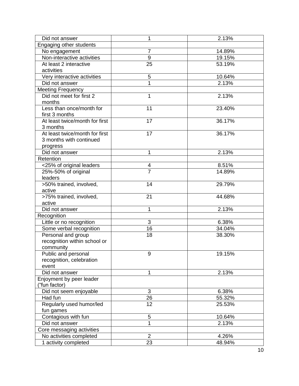| Did not answer                            | 1              | 2.13%  |
|-------------------------------------------|----------------|--------|
| Engaging other students                   |                |        |
| No engagement                             | 7              | 14.89% |
| Non-interactive activities                | 9              | 19.15% |
| At least 2 interactive                    | 25             | 53.19% |
| activities                                |                |        |
| Very interactive activities               | 5              | 10.64% |
| Did not answer                            |                | 2.13%  |
| <b>Meeting Frequency</b>                  |                |        |
| Did not meet for first 2                  | 1              | 2.13%  |
| months                                    |                |        |
| Less than once/month for                  | 11             | 23.40% |
| first 3 months                            |                |        |
| At least twice/month for first            | 17             | 36.17% |
| 3 months                                  |                |        |
| At least twice/month for first            | 17             | 36.17% |
| 3 months with continued                   |                |        |
| progress                                  |                |        |
| Did not answer                            | 1              | 2.13%  |
| Retention                                 |                |        |
| <25% of original leaders                  | 4              | 8.51%  |
| 25%-50% of original                       | $\overline{7}$ | 14.89% |
| leaders                                   |                |        |
| >50% trained, involved,                   | 14             | 29.79% |
| active                                    |                |        |
| >75% trained, involved,                   | 21             | 44.68% |
| active                                    |                |        |
| Did not answer                            | 1              | 2.13%  |
| Recognition                               |                |        |
| Little or no recognition                  | 3              | 6.38%  |
| Some verbal recognition                   | 16             | 34.04% |
| Personal and group                        | 18             | 38.30% |
| recognition within school or              |                |        |
| community                                 |                |        |
| Public and personal                       | 9              | 19.15% |
| recognition, celebration                  |                |        |
| event                                     |                |        |
| Did not answer                            | 1              | 2.13%  |
| Enjoyment by peer leader<br>("fun factor) |                |        |
| Did not seem enjoyable                    | 3              | 6.38%  |
| Had fun                                   | 26             | 55.32% |
| Regularly used humor/led                  | 12             | 25.53% |
| fun games                                 |                |        |
| Contagious with fun                       | 5              | 10.64% |
| Did not answer                            | 1              | 2.13%  |
| Core messaging activities                 |                |        |
| No activities completed                   | $\overline{2}$ | 4.26%  |
| 1 activity completed                      | 23             | 48.94% |
|                                           |                |        |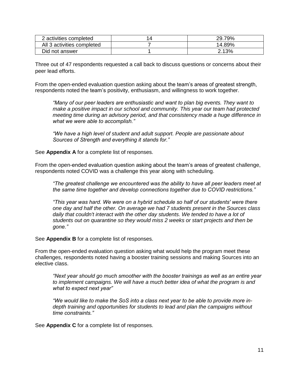| activities completed       | 29.79% |
|----------------------------|--------|
| All 3 activities completed | 14.89% |
| Did not answer             | 2.13%  |

Three out of 47 respondents requested a call back to discuss questions or concerns about their peer lead efforts.

From the open-ended evaluation question asking about the team's areas of greatest strength, respondents noted the team's positivity, enthusiasm, and willingness to work together.

*"Many of our peer leaders are enthusiastic and want to plan big events. They want to make a positive impact in our school and community. This year our team had protected meeting time during an advisory period, and that consistency made a huge difference in what we were able to accomplish."*

*"We have a high level of student and adult support. People are passionate about Sources of Strength and everything it stands for."*

See **Appendix A** for a complete list of responses.

From the open-ended evaluation question asking about the team's areas of greatest challenge, respondents noted COVID was a challenge this year along with scheduling.

*"The greatest challenge we encountered was the ability to have all peer leaders meet at the same time together and develop connections together due to COVID restrictions."*

*"This year was hard. We were on a hybrid schedule so half of our students' were there one day and half the other. On average we had 7 students present in the Sources class daily that couldn't interact with the other day students. We tended to have a lot of students out on quarantine so they would miss 2 weeks or start projects and then be gone."*

See **Appendix B** for a complete list of responses.

From the open-ended evaluation question asking what would help the program meet these challenges, respondents noted having a booster training sessions and making Sources into an elective class.

*"Next year should go much smoother with the booster trainings as well as an entire year to implement campaigns. We will have a much better idea of what the program is and what to expect next year"*

*"We would like to make the SoS into a class next year to be able to provide more indepth training and opportunities for students to lead and plan the campaigns without time constraints."*

See **Appendix C** for a complete list of responses.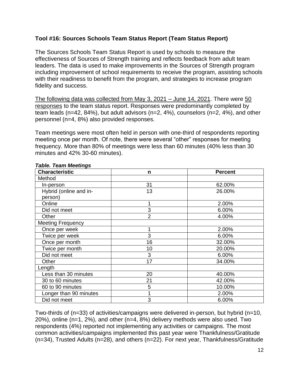## **Tool #16: Sources Schools Team Status Report (Team Status Report)**

The Sources Schools Team Status Report is used by schools to measure the effectiveness of Sources of Strength training and reflects feedback from adult team leaders. The data is used to make improvements in the Sources of Strength program including improvement of school requirements to receive the program, assisting schools with their readiness to benefit from the program, and strategies to increase program fidelity and success.

The following data was collected from May 3, 2021 – June 14, 2021. There were 50 responses to the team status report. Responses were predominantly completed by team leads (n=42, 84%), but adult advisors (n=2, 4%), counselors (n=2, 4%), and other personnel (n=4, 8%) also provided responses.

Team meetings were most often held in person with one-third of respondents reporting meeting once per month. Of note, there were several "other" responses for meeting frequency. More than 80% of meetings were less than 60 minutes (40% less than 30 minutes and 42% 30-60 minutes).

| <b>Characteristic</b>    | n              | <b>Percent</b> |
|--------------------------|----------------|----------------|
| Method                   |                |                |
| In-person                | 31             | 62.00%         |
| Hybrid (online and in-   | 13             | 26.00%         |
| person)                  |                |                |
| Online                   |                | 2.00%          |
| Did not meet             | 3              | 6.00%          |
| Other                    | $\overline{2}$ | 4.00%          |
| <b>Meeting Frequency</b> |                |                |
| Once per week            |                | 2.00%          |
| Twice per week           | 3              | 6.00%          |
| Once per month           | 16             | 32.00%         |
| Twice per month          | 10             | 20.00%         |
| Did not meet             | 3              | 6.00%          |
| Other                    | 17             | 34.00%         |
| Length                   |                |                |
| Less than 30 minutes     | 20             | 40.00%         |
| 30 to 60 minutes         | 21             | 42.00%         |
| 60 to 90 minutes         | 5              | 10.00%         |
| Longer than 90 minutes   |                | 2.00%          |
| Did not meet             | 3              | 6.00%          |

#### *Table. Team Meetings*

Two-thirds of (n=33) of activities/campaigns were delivered in-person, but hybrid (n=10, 20%), online (n=1, 2%), and other (n=4, 8%) delivery methods were also used. Two respondents (4%) reported not implementing any activities or campaigns. The most common activities/campaigns implemented this past year were Thankfulness/Gratitude (n=34), Trusted Adults (n=28), and others (n=22). For next year, Thankfulness/Gratitude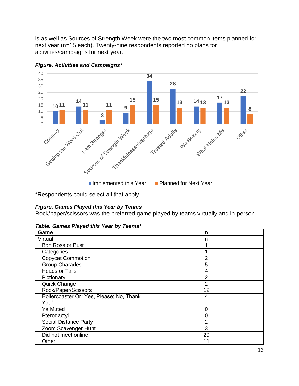is as well as Sources of Strength Week were the two most common items planned for next year (n=15 each). Twenty-nine respondents reported no plans for activities/campaigns for next year.



*Figure. Activities and Campaigns\**

\*Respondents could select all that apply

# *Figure. Games Played this Year by Teams*

Rock/paper/scissors was the preferred game played by teams virtually and in-person.

*Table. Games Played this Year by Teams\**

| Game                                     | n  |
|------------------------------------------|----|
| Virtual                                  | n  |
| Bob Ross or Bust                         |    |
| Categories                               |    |
| <b>Copycat Commotion</b>                 | 2  |
| <b>Group Charades</b>                    | 5  |
| <b>Heads or Tails</b>                    | 4  |
| Pictionary                               | 2  |
| <b>Quick Change</b>                      | 2  |
| Rock/Paper/Scissors                      | 12 |
| Rollercoaster Or "Yes, Please; No, Thank | 4  |
| You"                                     |    |
| Ya Muted                                 | 0  |
| Pterodactyl                              |    |
| <b>Social Distance Party</b>             | 2  |
| Zoom Scavenger Hunt                      | 3  |
| Did not meet online                      | 29 |
| Other                                    | 11 |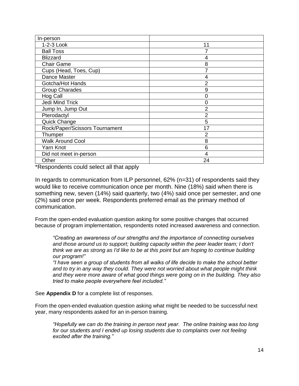| In-person                      |                |
|--------------------------------|----------------|
| 1-2-3 Look                     | 11             |
| <b>Ball Toss</b>               |                |
| <b>Blizzard</b>                | 4              |
| <b>Chair Game</b>              | 8              |
| Cups (Head, Toes, Cup)         | 7              |
| Dance Master                   | 4              |
| Gotcha/Hot Hands               | $\overline{2}$ |
| <b>Group Charades</b>          | 9              |
| Hog Call                       | 0              |
| Jedi Mind Trick                | 0              |
| Jump In, Jump Out              | $\overline{2}$ |
| Pterodactyl                    | $\overline{2}$ |
| Quick Change                   | 5              |
| Rock/Paper/Scissors Tournament | 17             |
| Thumper                        | $\overline{2}$ |
| <b>Walk Around Cool</b>        | 8              |
| Yarn Knot                      | 6              |
| Did not meet in-person         | 4              |
| Other                          | 24             |

\*Respondents could select all that apply

In regards to communication from ILP personnel, 62% (n=31) of respondents said they would like to receive communication once per month. Nine (18%) said when there is something new, seven (14%) said quarterly, two (4%) said once per semester, and one (2%) said once per week. Respondents preferred email as the primary method of communication.

From the open-ended evaluation question asking for some positive changes that occurred because of program implementation, respondents noted increased awareness and connection.

*"Creating an awareness of our strengths and the importance of connecting ourselves and those around us to support; building capacity within the peer leader team; I don't think we are as strong as I'd like to be at this point but am hoping to continue building our program!"*

*"I have seen a group of students from all walks of life decide to make the school better and to try in any way they could. They were not worried about what people might think and they were more aware of what good things were going on in the building. They also tried to make people everywhere feel included."*

See **Appendix D** for a complete list of responses.

From the open-ended evaluation question asking what might be needed to be successful next year, many respondents asked for an in-person training.

*"Hopefully we can do the training in person next year. The online training was too long for our students and I ended up losing students due to complaints over not feeling excited after the training."*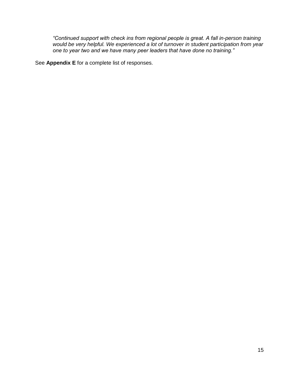*"Continued support with check ins from regional people is great. A fall in-person training would be very helpful. We experienced a lot of turnover in student participation from year one to year two and we have many peer leaders that have done no training."*

See **Appendix E** for a complete list of responses.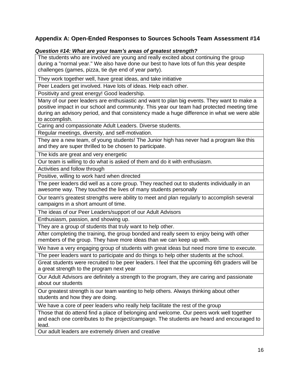# **Appendix A: Open-Ended Responses to Sources Schools Team Assessment #14**

#### *Question #14: What are your team's areas of greatest strength?*

The students who are involved are young and really excited about continuing the group during a "normal year." We also have done our best to have lots of fun this year despite challenges (games, pizza, tie dye end of year party).

They work together well, have great ideas, and take initiative

Peer Leaders get involved. Have lots of ideas. Help each other.

Positivity and great energy! Good leadership.

Many of our peer leaders are enthusiastic and want to plan big events. They want to make a positive impact in our school and community. This year our team had protected meeting time during an advisory period, and that consistency made a huge difference in what we were able to accomplish.

Caring and compassionate Adult Leaders. Diverse students.

Regular meetings, diversity, and self-motivation.

They are a new team, of young students! The Junior high has never had a program like this and they are super thrilled to be chosen to participate.

The kids are great and very energetic

Our team is willing to do what is asked of them and do it with enthusiasm.

Activities and follow through

Positive, willing to work hard when directed

The peer leaders did well as a core group. They reached out to students individually in an awesome way. They touched the lives of many students personally

Our team's greatest strengths were ability to meet and plan regularly to accomplish several campaigns in a short amount of time.

The ideas of our Peer Leaders/support of our Adult Advisors

Enthusiasm, passion, and showing up.

They are a group of students that truly want to help other.

After completing the training, the group bonded and really seem to enjoy being with other members of the group. They have more ideas than we can keep up with.

We have a very engaging group of students with great ideas but need more time to execute.

The peer leaders want to participate and do things to help other students at the school.

Great students were recruited to be peer leaders. I feel that the upcoming 6th graders will be a great strength to the program next year

Our Adult Advisors are definitely a strength to the program, they are caring and passionate about our students

Our greatest strength is our team wanting to help others. Always thinking about other students and how they are doing.

We have a core of peer leaders who really help facilitate the rest of the group

Those that do attend find a place of belonging and welcome. Our peers work well together and each one contributes to the project/campaign. The students are heard and encouraged to lead.

Our adult leaders are extremely driven and creative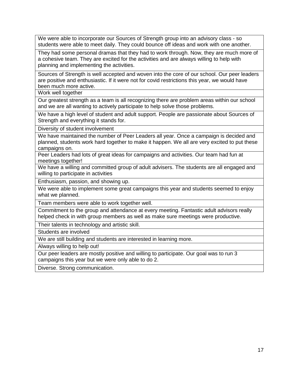We were able to incorporate our Sources of Strength group into an advisory class - so students were able to meet daily. They could bounce off ideas and work with one another.

They had some personal dramas that they had to work through. Now, they are much more of a cohesive team. They are excited for the activities and are always willing to help with planning and implementing the activities.

Sources of Strength is well accepted and woven into the core of our school. Our peer leaders are positive and enthusiastic. If it were not for covid restrictions this year, we would have been much more active.

Work well together

Our greatest strength as a team is all recognizing there are problem areas within our school and we are all wanting to actively participate to help solve those problems.

We have a high level of student and adult support. People are passionate about Sources of Strength and everything it stands for.

Diversity of student involvement

We have maintained the number of Peer Leaders all year. Once a campaign is decided and planned, students work hard together to make it happen. We all are very excited to put these campaigns on.

Peer Leaders had lots of great ideas for campaigns and activities. Our team had fun at meetings together!

We have a willing and committed group of adult advisers. The students are all engaged and willing to participate in activities

Enthusiasm, passion, and showing up.

We were able to implement some great campaigns this year and students seemed to enjoy what we planned.

Team members were able to work together well.

Commitment to the group and attendance at every meeting. Fantastic adult advisors really helped check in with group members as well as make sure meetings were productive.

Their talents in technology and artistic skill.

Students are involved

We are still building and students are interested in learning more.

Always willing to help out!

Our peer leaders are mostly positive and willing to participate. Our goal was to run 3 campaigns this year but we were only able to do 2.

Diverse. Strong communication.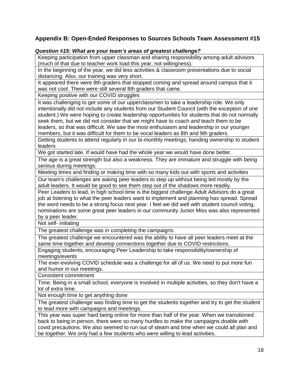# **Appendix B: Open-Ended Responses to Sources Schools Team Assessment #15**

#### *Question #15: What are your team's areas of greatest challenge?*

Keeping participation from upper classman and sharing responsibility among adult advisors (much of that due to teacher work load this year, not willingness).

In the beginning of the year, we did less activities & classroom presentations due to social distancing. Also, our training was very short.

It appeared there were 8th graders that stopped coming and spread around campus that it was not cool. There were still several 8th graders that came.

Keeping positive with our COVID struggles

It was challenging to get some of our upperclassmen to take a leadership role. We only intentionally did not include any students from our Student Council (with the exception of one student.) We were hoping to create leadership opportunities for students that do not normally seek them, but we did not consider that we might have to coach and teach them to be leaders, so that was difficult. We saw the most enthusiasm and leadership in our younger members, but it was difficult for them to be vocal leaders as 8th and 9th graders.

Getting students to attend regularly in our bi-monthly meetings; handing ownership to student leaders

We got started late. If would have had the whole year we would have done better.

The age is a great strength but also a weakness. They are immature and struggle with being serious during meetings.

Meeting times and finding or making time with so many kids out with sports and activities

Our team's challenges are asking peer leaders to step up without being led mostly by the adult leaders. It would be good to see them step out of the shadows more readily.

Peer Leaders to lead, in high school time is the biggest challenge Adult Advisors do a great job at listening to what the peer leaders want to implement and planning has spread. Spread the word needs to be a strong focus next year. I feel we did well with student council voting, nominations are some great peer leaders in our community Junior Miss was also represented by a peer leader.

Not self- initiating

The greatest challenge was in completing the campaigns.

The greatest challenge we encountered was the ability to have all peer leaders meet at the same time together and develop connections together due to COVID restrictions.

Engaging students, encouraging Peer Leadership to take responsibility/ownership of meetings/events

The ever-evolving COVID schedule was a challenge for all of us. We need to put more fun and humor in our meetings.

Consistent commitment

Time. Being in a small school, everyone is involved in multiple activities, so they don't have a lot of extra time.

Not enough time to get anything done

The greatest challenge was finding time to get the students together and try to get the student to lead more with campaigns and meetings.

This year was super hard being online for more than half of the year. When we transitioned back to being in person, there were so many hurdles to make the campaigns doable with covid precautions. We also seemed to run out of steam and time when we could all plan and be together. We only had a few students who were willing to lead activities.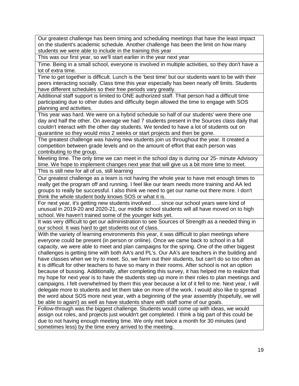Our greatest challenge has been timing and scheduling meetings that have the least impact on the student's academic schedule. Another challenge has been the limit on how many students we were able to include in the training this year

This was our first year, so we'll start earlier in the year next year

Time. Being in a small school, everyone is involved in multiple activities, so they don't have a lot of extra time.

Time to get together is difficult. Lunch is the 'best time' but our students want to be with their peers interacting socially. Class time this year especially has been nearly off limits. Students have different schedules so their free periods vary greatly.

Additional staff support is limited to ONE authorized staff. That person had a difficult time participating due to other duties and difficulty begin allowed the time to engage with SOS planning and activities.

This year was hard. We were on a hybrid schedule so half of our students' were there one day and half the other. On average we had 7 students present in the Sources class daily that couldn't interact with the other day students. We tended to have a lot of students out on quarantine so they would miss 2 weeks or start projects and then be gone.

The greatest challenge was having new students join us throughout the year. It created a competition between grade levels and on the amount of effort that each person was contributing to the group.

Meeting time. The only time we can meet in the school day is during our 25- minute Advisory time. We hope to implement changes next year that will give us a bit more time to meet.

This is still new for all of us, still learning

Our greatest challenge as a team is not having the whole year to have met enough times to really get the program off and running. I feel like our team needs more training and AA led groups to really be successful. I also think we need to get our name out there more. I don't think the whole student body knows SOS or what it is.

For next year, it's getting new students involved . . . since our school years were kind of unusual in 2019-20 and 2020-21, our middle school students will all have moved on to high school. We haven't trained some of the younger kids yet.

It was very difficult to get our administration to see Sources of Strength as a needed thing in our school. It was hard to get students out of class.

With the variety of learning environments this year, it was difficult to plan meetings where everyone could be present (in person or online). Once we came back to school in a full capacity, we were able to meet and plan campaigns for the spring. One of the other biggest challenges is getting time with both AA's and PL's. Our AA's are teachers in the building and have classes when we try to meet. So, we farm out their students, but can't do so too often as it is difficult for other teachers to have so many in their rooms. After school is not an option because of bussing. Additionally, after completing this survey, it has helped me to realize that my hope for next year is to have the students step up more in their roles to plan meetings and campaigns. I felt overwhelmed by them this year because a lot of it fell to me. Next year, I will delegate more to students and let them take on more of the work. I would also like to spread the word about SOS more next year, with a beginning of the year assembly (hopefully, we will be able to again!) as well as have students share with staff some of our goals.

Follow-through was the biggest challenge. Students would come up with ideas, we would assign out roles, and projects just wouldn't get completed. I think a big part of this could be due to not having enough meeting time. We only met twice a month for 30 minutes (and sometimes less) by the time every arrived to the meeting.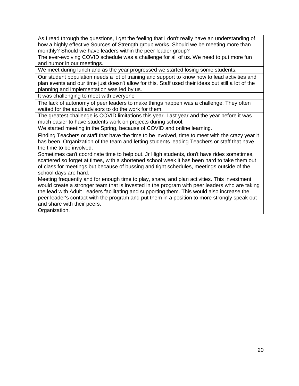As I read through the questions, I get the feeling that I don't really have an understanding of how a highly effective Sources of Strength group works. Should we be meeting more than monthly? Should we have leaders within the peer leader group?

The ever-evolving COVID schedule was a challenge for all of us. We need to put more fun and humor in our meetings.

We meet during lunch and as the year progressed we started losing some students.

Our student population needs a lot of training and support to know how to lead activities and plan events and our time just doesn't allow for this. Staff used their ideas but still a lot of the planning and implementation was led by us.

It was challenging to meet with everyone

The lack of autonomy of peer leaders to make things happen was a challenge. They often waited for the adult advisors to do the work for them.

The greatest challenge is COVID limitations this year. Last year and the year before it was much easier to have students work on projects during school.

We started meeting in the Spring, because of COVID and online learning.

Finding Teachers or staff that have the time to be involved, time to meet with the crazy year it has been. Organization of the team and letting students leading Teachers or staff that have the time to be involved.

Sometimes can't coordinate time to help out. Jr High students, don't have rides sometimes, scattered so forget at times, with a shortened school week it has been hard to take them out of class for meetings but because of bussing and tight schedules, meetings outside of the school days are hard.

Meeting frequently and for enough time to play, share, and plan activities. This investment would create a stronger team that is invested in the program with peer leaders who are taking the lead with Adult Leaders facilitating and supporting them. This would also increase the peer leader's contact with the program and put them in a position to more strongly speak out and share with their peers.

Organization.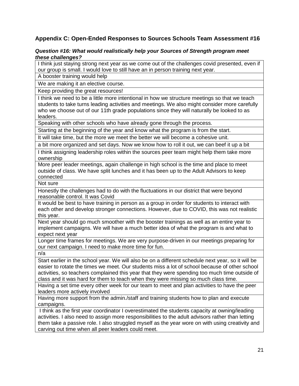# **Appendix C: Open-Ended Responses to Sources Schools Team Assessment #16**

#### *Question #16: What would realistically help your Sources of Strength program meet these challenges?*

I think just staying strong next year as we come out of the challenges covid presented, even if our group is small. I would love to still have an in person training next year.

A booster training would help

We are making it an elective course.

Keep providing the great resources!

I think we need to be a little more intentional in how we structure meetings so that we teach students to take turns leading activities and meetings. We also might consider more carefully who we choose out of our 11th grade populations since they will naturally be looked to as leaders.

Speaking with other schools who have already gone through the process.

Starting at the beginning of the year and know what the program is from the start.

It will take time, but the more we meet the better we will become a cohesive unit.

a bit more organized and set days. Now we know how to roll it out, we can beef it up a bit

I think assigning leadership roles within the sources peer team might help them take more ownership

More peer leader meetings, again challenge in high school is the time and place to meet outside of class. We have split lunches and it has been up to the Adult Advisors to keep connected

Not sure

Honestly the challenges had to do with the fluctuations in our district that were beyond reasonable control. It was Covid

It would be best to have training in person as a group in order for students to interact with each other and develop stronger connections. However, due to COVID, this was not realistic this year.

Next year should go much smoother with the booster trainings as well as an entire year to implement campaigns. We will have a much better idea of what the program is and what to expect next year

Longer time frames for meetings. We are very purpose-driven in our meetings preparing for our next campaign. I need to make more time for fun.

n/a

Start earlier in the school year. We will also be on a different schedule next year, so it will be easier to rotate the times we meet. Our students miss a lot of school because of other school activities, so teachers complained this year that they were spending too much time outside of class and it was hard for them to teach when they were missing so much class time.

Having a set time every other week for our team to meet and plan activities to have the peer leaders more actively involved

Having more support from the admin./staff and training students how to plan and execute campaigns.

I think as the first year coordinator I overestimated the students capacity at owning/leading activities. I also need to assign more responsibilities to the adult advisors rather than letting them take a passive role. I also struggled myself as the year wore on with using creativity and carving out time when all peer leaders could meet.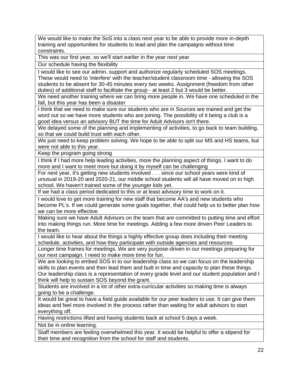We would like to make the SoS into a class next year to be able to provide more in-depth training and opportunities for students to lead and plan the campaigns without time constraints.

This was our first year, so we'll start earlier in the year next year

Our schedule having the flexibility

I would like to see our admin. support and authorize regularly scheduled SOS meetings. These would need to 'interfere' with the teacher/student classroom time - allowing the SOS students to be absent for 30-45 minutes every two weeks. Assignment (freedom from other duties) of additional staff to facilitate the group - at least 2 but 3 would be better.

We need another training where we can bring more people in. We have one scheduled in the fall, but this year has been a disaster

I think that we need to make sure our students who are in Sources are trained and get the word out so we have more students who are joining. The possibility of it being a club is a good idea versus an advisory BUT the time for Adult Advisors isn't there.

We delayed some of the planning and implementing of activities, to go back to team building, so that we could build trust with each other.

We just need to keep problem solving. We hope to be able to split our MS and HS teams, but were not able to this year.

Keep the program going strong

I think if I had more help leading activities, more the planning aspect of things. I want to do more and I want to meet more but doing it by myself can be challenging

For next year, it's getting new students involved . . . since our school years were kind of unusual in 2019-20 and 2020-21, our middle school students will all have moved on to high school. We haven't trained some of the younger kids yet.

If we had a class period dedicated to this or at least advisory time to work on it.

I would love to get more training for new staff that become AA's and new students who become PL's. If we could generate some goals together, that could help us to better plan how we can be more effective.

Making sure we have Adult Advisors on the team that are committed to putting time and effort into making things run. More time for meetings. Adding a few more driven Peer Leaders to the team.

I would like to hear about the things a highly effective group does including their meeting schedule, activities, and how they participate with outside agencies and resources

Longer time frames for meetings. We are very purpose-driven in our meetings preparing for our next campaign. I need to make more time for fun.

We are looking to embed SOS in to our leadership class so we can focus on the leadership skills to plan events and then lead them and built in time and capacity to plan these things. Our leadership class is a representation of every grade level and our student population and I think will help to sustain SOS beyond the grant.

Students are involved in a lot of other extra-curricular activities so making time is always going to be a challenge.

It would be great to have a field guide available for our peer leaders to use. It can give them ideas and feel more involved in the process rather than waiting for adult advisors to start everything off.

Having restrictions lifted and having students back at school 5 days a week.

Not be in online learning.

Staff members are feeling overwhelmed this year. It would be helpful to offer a stipend for their time and recognition from the school for staff and students.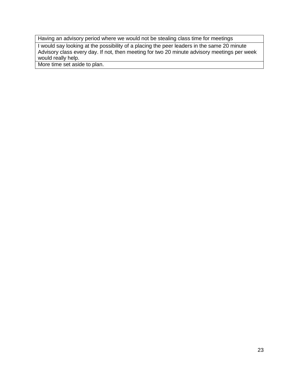Having an advisory period where we would not be stealing class time for meetings

I would say looking at the possibility of a placing the peer leaders in the same 20 minute Advisory class every day. If not, then meeting for two 20 minute advisory meetings per week would really help.

More time set aside to plan.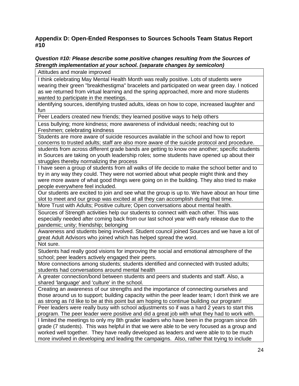# **Appendix D: Open-Ended Responses to Sources Schools Team Status Report #10**

#### *Question #10: Please describe some positive changes resulting from the Sources of Strength implementation at your school. (separate changes by semicolon)*

Attitudes and morale improved

I think celebrating May Mental Health Month was really positive. Lots of students were wearing their green "breakthestigma" bracelets and participated on wear green day. I noticed as we returned from virtual learning and the spring approached, more and more students wanted to participate in the meetings.

identifying sources, identifying trusted adults, ideas on how to cope, increased laughter and fun

Peer Leaders created new friends; they learned positive ways to help others

Less bullying; more kindness; more awareness of individual needs; reaching out to Freshmen; celebrating kindness

Students are more aware of suicide resources available in the school and how to report concerns to trusted adults; staff are also more aware of the suicide protocol and procedure.

students from across different grade bands are getting to know one another; specific students in Sources are taking on youth leadership roles; some students have opened up about their struggles thereby normalizing the process

I have seen a group of students from all walks of life decide to make the school better and to try in any way they could. They were not worried about what people might think and they were more aware of what good things were going on in the building. They also tried to make people everywhere feel included.

Our students are excited to join and see what the group is up to. We have about an hour time slot to meet and our group was excited at all they can accomplish during that time.

More Trust with Adults; Positive culture; Open conversations about mental health.

Sources of Strength activities help our students to connect with each other. This was especially needed after coming back from our last school year with early release due to the pandemic; unity; friendship; belonging

Awareness and students being involved. Student council joined Sources and we have a lot of great Adult Advisors who joined which has helped spread the word. Not sure.

Students had really good visions for improving the social and emotional atmosphere of the school; peer leaders actively engaged their peers.

More connections among students; students identified and connected with trusted adults; students had conversations around mental health

A greater connection/bond between students and peers and students and staff. Also, a shared 'language' and 'culture' in the school.

Creating an awareness of our strengths and the importance of connecting ourselves and those around us to support; building capacity within the peer leader team; I don't think we are as strong as I'd like to be at this point but am hoping to continue building our program!

Peer leaders were really busy with school adjustments so if was a hard 2 years to start this program. The peer leader were positive and did a great job with what they had to work with. I limited the meetings to only my 8th grader leaders who have been in the program since 6th grade (7 students). This was helpful in that we were able to be very focused as a group and worked well together. They have really developed as leaders and were able to to be much more involved in developing and leading the campaigns. Also, rather that trying to include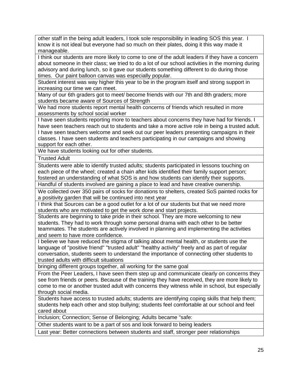other staff in the being adult leaders, I took sole responsibility in leading SOS this year. I know it is not ideal but everyone had so much on their plates, doing it this way made it manageable.

I think our students are more likely to come to one of the adult leaders if they have a concern about someone in their class; we tried to do a lot of our school activities in the morning during advisory and during lunch, so it gave our students something different to do during those times. Our paint balloon canvas was especially popular.

Student interest was way higher this year to be in the program itself and strong support in increasing our time we can meet.

Many of our 6th graders got to meet/ become friends with our 7th and 8th graders; more students became aware of Sources of Strength

We had more students report mental health concerns of friends which resulted in more assessments by school social worker

I have seen students reporting more to teachers about concerns they have had for friends. I have seen teachers reach out to students and take a more active role in being a trusted adult. I have seen teachers welcome and seek out our peer leaders presenting campaigns in their classes. I have seen students and teachers participating in our campaigns and showing support for each other.

We have students looking out for other students.

Trusted Adult

Students were able to identify trusted adults; students participated in lessons touching on each piece of the wheel; created a chain after kids identified their family support person; fostered an understanding of what SOS is and how students can identify their supports.

Handful of students involved are gaining a place to lead and have creative ownership.

We collected over 350 pairs of socks for donations to shelters, created SoS painted rocks for a positivity garden that will be continued into next year

I think that Sources can be a good outlet for a lot of our students but that we need more students who are motivated to get the work done and start projects.

Students are beginning to take pride in their school. They are more welcoming to new students. They had to work through some personal drama with each other to be better teammates. The students are actively involved in planning and implementing the activities and seem to have more confidence.

I believe we have reduced the stigma of talking about mental health, or students use the language of "positive friend" "trusted adult" "healthy activity" freely and as part of regular conversation, students seem to understand the importance of connecting other students to trusted adults with difficult situations

bringing different groups together, all working for the same goal

From the Peer Leaders, I have seen them step up and communicate clearly on concerns they see from friends or peers. Because of the training they have received, they are more likely to come to me or another trusted adult with concerns they witness while in school, but especially through social media.

Students have access to trusted adults; students are identifying coping skills that help them; students help each other and stop bullying; students feel comfortable at our school and feel cared about

Inclusion; Connection; Sense of Belonging; Adults became "safe:

Other students want to be a part of sos and look forward to being leaders

Last year: Better connections between students and staff, stronger peer relationships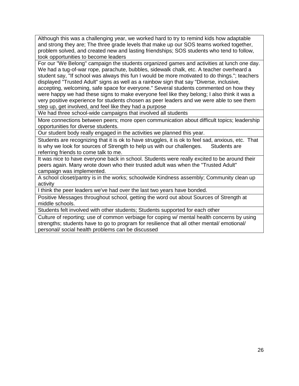Although this was a challenging year, we worked hard to try to remind kids how adaptable and strong they are; The three grade levels that make up our SOS teams worked together, problem solved, and created new and lasting friendships; SOS students who tend to follow, took opportunities to become leaders

For our "We Belong" campaign the students organized games and activities at lunch one day. We had a tug-of-war rope, parachute, bubbles, sidewalk chalk, etc. A teacher overheard a student say, "If school was always this fun I would be more motivated to do things."; teachers displayed "Trusted Adult" signs as well as a rainbow sign that say "Diverse, inclusive,

accepting, welcoming, safe space for everyone." Several students commented on how they were happy we had these signs to make everyone feel like they belong; I also think it was a very positive experience for students chosen as peer leaders and we were able to see them step up, get involved, and feel like they had a purpose

We had three school-wide campaigns that involved all students

More connections between peers; more open communication about difficult topics; leadership opportunities for diverse students.

Our student body really engaged in the activities we planned this year.

Students are recognizing that it is ok to have struggles, it is ok to feel sad, anxious, etc. That is why we look for sources of Strength to help us with our challenges. Students are referring friends to come talk to me.

It was nice to have everyone back in school. Students were really excited to be around their peers again. Many wrote down who their trusted adult was when the "Trusted Adult" campaign was implemented.

A school closet/pantry is in the works; schoolwide Kindness assembly; Community clean up activity

I think the peer leaders we've had over the last two years have bonded.

Positive Messages throughout school, getting the word out about Sources of Strength at middle schools.

Students felt involved with other students; Students supported for each other

Culture of reporting; use of common verbiage for coping w/ mental health concerns by using strengths; students have to go to program for resilience that all other mental/ emotional/ personal/ social health problems can be discussed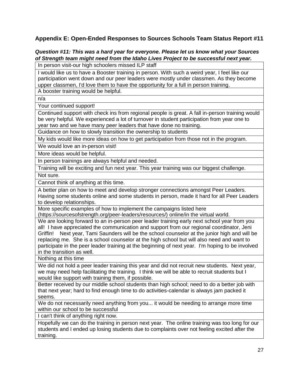# **Appendix E: Open-Ended Responses to Sources Schools Team Status Report #11**

#### *Question #11: This was a hard year for everyone. Please let us know what your Sources of Strength team might need from the Idaho Lives Project to be successful next year.*

In person visit-our high schoolers missed ILP staff

I would like us to have a Booster training in person. With such a weird year, I feel like our participation went down and our peer leaders were mostly under classmen. As they become upper classmen, I'd love them to have the opportunity for a full in person training.

A booster training would be helpful.

n/a

Your continued support!

Continued support with check ins from regional people is great. A fall in-person training would be very helpful. We experienced a lot of turnover in student participation from year one to year two and we have many peer leaders that have done no training.

Guidance on how to slowly transition the ownership to students

My kids would like more ideas on how to get participation from those not in the program.

We would love an in-person visit!

More ideas would be helpful.

In person trainings are always helpful and needed.

Training will be exciting and fun next year. This year training was our biggest challenge.

Not sure.

Cannot think of anything at this time.

A better plan on how to meet and develop stronger connections amongst Peer Leaders. Having some students online and some students in person, made it hard for all Peer Leaders to develop relationships.

More specific examples of how to implement the campaigns listed here

(https://sourcesofstrength.org/peer-leaders/resources/) online/in the virtual world.

We are looking forward to an in-person peer leader training early next school year from you all! I have appreciated the communication and support from our regional coordinator, Jeni Griffin! Next year, Tami Saunders will be the school counselor at the junior high and will be replacing me. She is a school counselor at the high school but will also need and want to participate in the peer leader training at the beginning of next year. I'm hoping to be involved in the transition as well.

Nothing at this time

We did not hold a peer leader training this year and did not recruit new students. Next year, we may need help facilitating the training. I think we will be able to recruit students but I would like support with training them, if possible.

Better received by our middle school students than high school; need to do a better job with that next year; hard to find enough time to do activities-calendar is always jam packed it seems.

We do not necessarily need anything from you... it would be needing to arrange more time within our school to be successful

I can't think of anything right now.

Hopefully we can do the training in person next year. The online training was too long for our students and I ended up losing students due to complaints over not feeling excited after the training.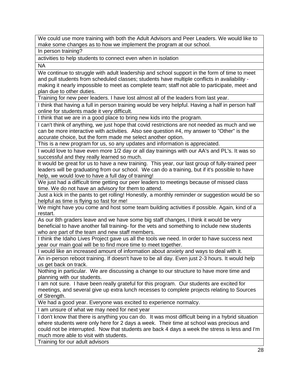We could use more training with both the Adult Advisors and Peer Leaders. We would like to make some changes as to how we implement the program at our school.

In person training?

activities to help students to connect even when in isolation

NA

We continue to struggle with adult leadership and school support in the form of time to meet and pull students from scheduled classes; students have multiple conflicts in availability making it nearly impossible to meet as complete team; staff not able to participate, meet and plan due to other duties.

Training for new peer leaders. I have lost almost all of the leaders from last year.

I think that having a full in person training would be very helpful. Having a half in person half online for students made it very difficult.

I think that we are in a good place to bring new kids into the program.

I can't think of anything, we just hope that covid restrictions are not needed as much and we can be more interactive with activities. Also see question #4, my answer to "Other" is the accurate choice, but the form made me select another option.

This is a new program for us, so any updates and information is appreciated.

I would love to have even more 1/2 day or all day trainings with our AA's and PL's. It was so successful and they really learned so much.

It would be great for us to have a new training. This year, our last group of fully-trained peer leaders will be graduating from our school. We can do a training, but if it's possible to have help, we would love to have a full day of training!

We just had a difficult time getting our peer leaders to meetings because of missed class time. We do not have an advisory for them to attend.

Just a kick in the pants to get rolling! Honestly, a monthly reminder or suggestion would be so helpful as time is flying so fast for me!

We might have you come and host some team building activities if possible. Again, kind of a restart.

As our 8th graders leave and we have some big staff changes, I think it would be very beneficial to have another fall training- for the vets and something to include new students who are part of the team and new staff members.

I think the Idaho Lives Project gave us all the tools we need. In order to have success next year our main goal will be to find more time to meet together.

I would like an increased amount of information about anxiety and ways to deal with it.

An in-person reboot training. If doesn't have to be all day. Even just 2-3 hours. It would help us get back on track.

Nothing in particular. We are discussing a change to our structure to have more time and planning with our students.

I am not sure. I have been really grateful for this program. Our students are excited for meetings, and several give up extra lunch recesses to complete projects relating to Sources of Strength.

We had a good year. Everyone was excited to experience normalcy.

I am unsure of what we may need for next year

I don't know that there is anything you can do. It was most difficult being in a hybrid situation where students were only here for 2 days a week. Their time at school was precious and could not be interrupted. Now that students are back 4 days a week the stress is less and I'm much more able to visit with students.

Training for our adult advisors